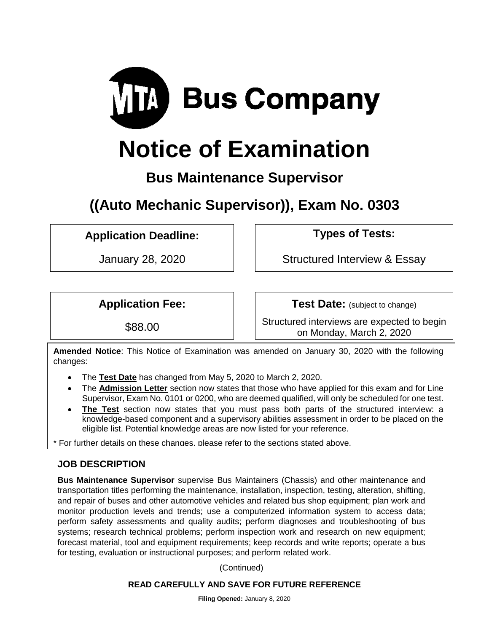

# **Notice of Examination**

### **Bus Maintenance Supervisor**

## **((Auto Mechanic Supervisor)), Exam No. 0303**

### **Application Deadline: Types of Tests:**

January 28, 2020 Structured Interview & Essay

**Application Fee: Test Date:** (subject to change)

\$88.00 Structured interviews are expected to begin on Monday, March 2, 2020

**Amended Notice**: This Notice of Examination was amended on January 30, 2020 with the following changes:

- The **Test Date** has changed from May 5, 2020 to March 2, 2020.
- The **Admission Letter** section now states that those who have applied for this exam and for Line Supervisor, Exam No. 0101 or 0200, who are deemed qualified, will only be scheduled for one test.
- **The Test** section now states that you must pass both parts of the structured interview: a knowledge-based component and a supervisory abilities assessment in order to be placed on the eligible list. Potential knowledge areas are now listed for your reference.

\* For further details on these changes, please refer to the sections stated above.

### **JOB DESCRIPTION**

**Bus Maintenance Supervisor** supervise Bus Maintainers (Chassis) and other maintenance and transportation titles performing the maintenance, installation, inspection, testing, alteration, shifting, and repair of buses and other automotive vehicles and related bus shop equipment; plan work and monitor production levels and trends; use a computerized information system to access data; perform safety assessments and quality audits; perform diagnoses and troubleshooting of bus systems; research technical problems; perform inspection work and research on new equipment; forecast material, tool and equipment requirements; keep records and write reports; operate a bus for testing, evaluation or instructional purposes; and perform related work.

(Continued)

#### **READ CAREFULLY AND SAVE FOR FUTURE REFERENCE**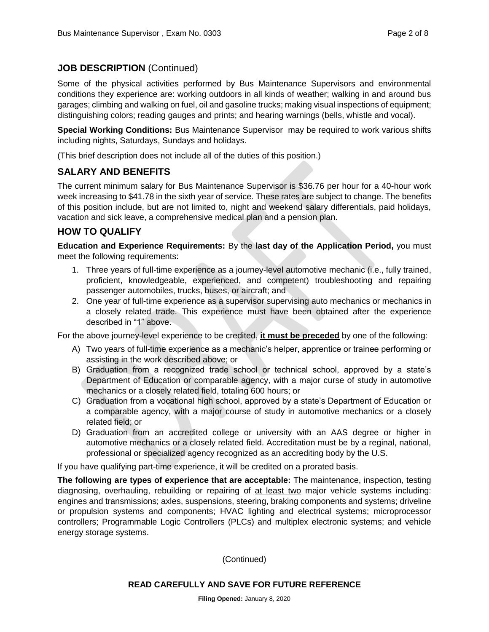#### **JOB DESCRIPTION** (Continued)

Some of the physical activities performed by Bus Maintenance Supervisors and environmental conditions they experience are: working outdoors in all kinds of weather; walking in and around bus garages; climbing and walking on fuel, oil and gasoline trucks; making visual inspections of equipment; distinguishing colors; reading gauges and prints; and hearing warnings (bells, whistle and vocal).

**Special Working Conditions:** Bus Maintenance Supervisor may be required to work various shifts including nights, Saturdays, Sundays and holidays.

(This brief description does not include all of the duties of this position.)

#### **SALARY AND BENEFITS**

The current minimum salary for Bus Maintenance Supervisor is \$36.76 per hour for a 40-hour work week increasing to \$41.78 in the sixth year of service. These rates are subject to change. The benefits of this position include, but are not limited to, night and weekend salary differentials, paid holidays, vacation and sick leave, a comprehensive medical plan and a pension plan.

#### **HOW TO QUALIFY**

**Education and Experience Requirements:** By the **last day of the Application Period,** you must meet the following requirements:

- 1. Three years of full-time experience as a journey-level automotive mechanic (i.e., fully trained, proficient, knowledgeable, experienced, and competent) troubleshooting and repairing passenger automobiles, trucks, buses, or aircraft; and
- 2. One year of full-time experience as a supervisor supervising auto mechanics or mechanics in a closely related trade. This experience must have been obtained after the experience described in "1" above.

For the above journey-level experience to be credited, **it must be preceded** by one of the following:

- A) Two years of full-time experience as a mechanic's helper, apprentice or trainee performing or assisting in the work described above; or
- B) Graduation from a recognized trade school or technical school, approved by a state's Department of Education or comparable agency, with a major curse of study in automotive mechanics or a closely related field, totaling 600 hours; or
- C) Graduation from a vocational high school, approved by a state's Department of Education or a comparable agency, with a major course of study in automotive mechanics or a closely related field; or
- D) Graduation from an accredited college or university with an AAS degree or higher in automotive mechanics or a closely related field. Accreditation must be by a reginal, national, professional or specialized agency recognized as an accrediting body by the U.S.

If you have qualifying part-time experience, it will be credited on a prorated basis.

**The following are types of experience that are acceptable:** The maintenance, inspection, testing diagnosing, overhauling, rebuilding or repairing of at least two major vehicle systems including: engines and transmissions; axles, suspensions, steering, braking components and systems; driveline or propulsion systems and components; HVAC lighting and electrical systems; microprocessor controllers; Programmable Logic Controllers (PLCs) and multiplex electronic systems; and vehicle energy storage systems.

(Continued)

#### **READ CAREFULLY AND SAVE FOR FUTURE REFERENCE**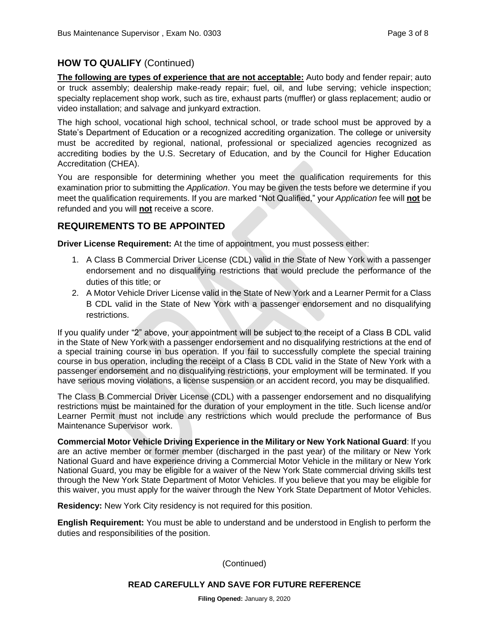#### **HOW TO QUALIFY** (Continued)

**The following are types of experience that are not acceptable:** Auto body and fender repair; auto or truck assembly; dealership make-ready repair; fuel, oil, and lube serving; vehicle inspection; specialty replacement shop work, such as tire, exhaust parts (muffler) or glass replacement; audio or video installation; and salvage and junkyard extraction.

The high school, vocational high school, technical school, or trade school must be approved by a State's Department of Education or a recognized accrediting organization. The college or university must be accredited by regional, national, professional or specialized agencies recognized as accrediting bodies by the U.S. Secretary of Education, and by the Council for Higher Education Accreditation (CHEA).

You are responsible for determining whether you meet the qualification requirements for this examination prior to submitting the *Application*. You may be given the tests before we determine if you meet the qualification requirements. If you are marked "Not Qualified," your *Application* fee will **not** be refunded and you will **not** receive a score.

#### **REQUIREMENTS TO BE APPOINTED**

**Driver License Requirement:** At the time of appointment, you must possess either:

- 1. A Class B Commercial Driver License (CDL) valid in the State of New York with a passenger endorsement and no disqualifying restrictions that would preclude the performance of the duties of this title; or
- 2. A Motor Vehicle Driver License valid in the State of New York and a Learner Permit for a Class B CDL valid in the State of New York with a passenger endorsement and no disqualifying restrictions.

If you qualify under "2" above, your appointment will be subject to the receipt of a Class B CDL valid in the State of New York with a passenger endorsement and no disqualifying restrictions at the end of a special training course in bus operation. If you fail to successfully complete the special training course in bus operation, including the receipt of a Class B CDL valid in the State of New York with a passenger endorsement and no disqualifying restrictions, your employment will be terminated. If you have serious moving violations, a license suspension or an accident record, you may be disqualified.

The Class B Commercial Driver License (CDL) with a passenger endorsement and no disqualifying restrictions must be maintained for the duration of your employment in the title. Such license and/or Learner Permit must not include any restrictions which would preclude the performance of Bus Maintenance Supervisor work.

**Commercial Motor Vehicle Driving Experience in the Military or New York National Guard**: If you are an active member or former member (discharged in the past year) of the military or New York National Guard and have experience driving a Commercial Motor Vehicle in the military or New York National Guard, you may be eligible for a waiver of the New York State commercial driving skills test through the New York State Department of Motor Vehicles. If you believe that you may be eligible for this waiver, you must apply for the waiver through the New York State Department of Motor Vehicles.

**Residency:** New York City residency is not required for this position.

**English Requirement:** You must be able to understand and be understood in English to perform the duties and responsibilities of the position.

(Continued)

#### **READ CAREFULLY AND SAVE FOR FUTURE REFERENCE**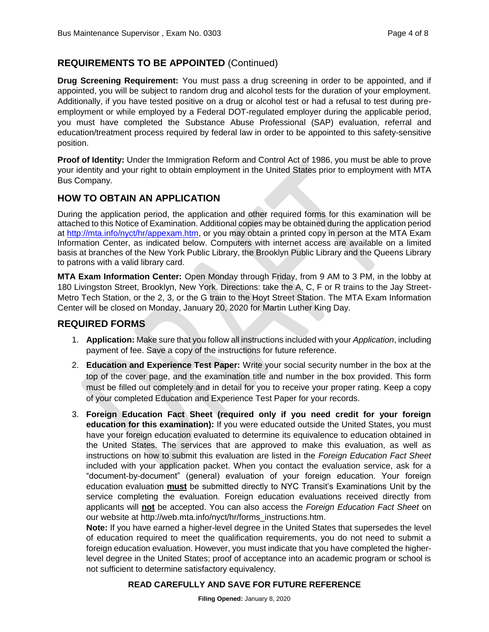#### **REQUIREMENTS TO BE APPOINTED** (Continued)

**Drug Screening Requirement:** You must pass a drug screening in order to be appointed, and if appointed, you will be subject to random drug and alcohol tests for the duration of your employment. Additionally, if you have tested positive on a drug or alcohol test or had a refusal to test during preemployment or while employed by a Federal DOT-regulated employer during the applicable period, you must have completed the Substance Abuse Professional (SAP) evaluation, referral and education/treatment process required by federal law in order to be appointed to this safety-sensitive position.

**Proof of Identity:** Under the Immigration Reform and Control Act of 1986, you must be able to prove your identity and your right to obtain employment in the United States prior to employment with MTA Bus Company.

#### **HOW TO OBTAIN AN APPLICATION**

During the application period, the application and other required forms for this examination will be attached to this Notice of Examination. Additional copies may be obtained during the application period at [http://mta.info/nyct/hr/appexam.htm,](http://mta.info/nyct/hr/appexam.htm) or you may obtain a printed copy in person at the MTA Exam Information Center, as indicated below. Computers with internet access are available on a limited basis at branches of the New York Public Library, the Brooklyn Public Library and the Queens Library to patrons with a valid library card.

**MTA Exam Information Center:** Open Monday through Friday, from 9 AM to 3 PM, in the lobby at 180 Livingston Street, Brooklyn, New York. Directions: take the A, C, F or R trains to the Jay Street-Metro Tech Station, or the 2, 3, or the G train to the Hoyt Street Station. The MTA Exam Information Center will be closed on Monday, January 20, 2020 for Martin Luther King Day.

#### **REQUIRED FORMS**

- 1. **Application:** Make sure that you follow all instructions included with your *Application*, including payment of fee. Save a copy of the instructions for future reference.
- 2. **Education and Experience Test Paper:** Write your social security number in the box at the top of the cover page, and the examination title and number in the box provided. This form must be filled out completely and in detail for you to receive your proper rating. Keep a copy of your completed Education and Experience Test Paper for your records.
- 3. **Foreign Education Fact Sheet (required only if you need credit for your foreign education for this examination):** If you were educated outside the United States, you must have your foreign education evaluated to determine its equivalence to education obtained in the United States. The services that are approved to make this evaluation, as well as instructions on how to submit this evaluation are listed in the *Foreign Education Fact Sheet* included with your application packet. When you contact the evaluation service, ask for a "document-by-document" (general) evaluation of your foreign education. Your foreign education evaluation **must** be submitted directly to NYC Transit's Examinations Unit by the service completing the evaluation. Foreign education evaluations received directly from applicants will **not** be accepted. You can also access the *Foreign Education Fact Sheet* on our website at http://web.mta.info/nyct/hr/forms\_instructions.htm.

**Note:** If you have earned a higher-level degree in the United States that supersedes the level of education required to meet the qualification requirements, you do not need to submit a foreign education evaluation. However, you must indicate that you have completed the higherlevel degree in the United States; proof of acceptance into an academic program or school is not sufficient to determine satisfactory equivalency.

#### **READ CAREFULLY AND SAVE FOR FUTURE REFERENCE**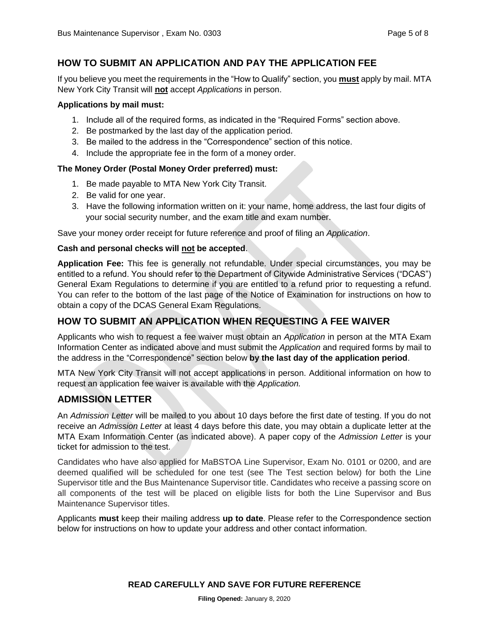#### **HOW TO SUBMIT AN APPLICATION AND PAY THE APPLICATION FEE**

If you believe you meet the requirements in the "How to Qualify" section, you **must** apply by mail. MTA New York City Transit will **not** accept *Applications* in person.

#### **Applications by mail must:**

- 1. Include all of the required forms, as indicated in the "Required Forms" section above.
- 2. Be postmarked by the last day of the application period.
- 3. Be mailed to the address in the "Correspondence" section of this notice.
- 4. Include the appropriate fee in the form of a money order.

#### **The Money Order (Postal Money Order preferred) must:**

- 1. Be made payable to MTA New York City Transit.
- 2. Be valid for one year.
- 3. Have the following information written on it: your name, home address, the last four digits of your social security number, and the exam title and exam number.

Save your money order receipt for future reference and proof of filing an *Application*.

#### **Cash and personal checks will not be accepted**.

**Application Fee:** This fee is generally not refundable. Under special circumstances, you may be entitled to a refund. You should refer to the Department of Citywide Administrative Services ("DCAS") General Exam Regulations to determine if you are entitled to a refund prior to requesting a refund. You can refer to the bottom of the last page of the Notice of Examination for instructions on how to obtain a copy of the DCAS General Exam Regulations.

#### **HOW TO SUBMIT AN APPLICATION WHEN REQUESTING A FEE WAIVER**

Applicants who wish to request a fee waiver must obtain an *Application* in person at the MTA Exam Information Center as indicated above and must submit the *Application* and required forms by mail to the address in the "Correspondence" section below **by the last day of the application period**.

MTA New York City Transit will not accept applications in person. Additional information on how to request an application fee waiver is available with the *Application.*

#### **ADMISSION LETTER**

An *Admission Letter* will be mailed to you about 10 days before the first date of testing. If you do not receive an *Admission Letter* at least 4 days before this date, you may obtain a duplicate letter at the MTA Exam Information Center (as indicated above). A paper copy of the *Admission Letter* is your ticket for admission to the test.

Candidates who have also applied for MaBSTOA Line Supervisor, Exam No. 0101 or 0200, and are deemed qualified will be scheduled for one test (see The Test section below) for both the Line Supervisor title and the Bus Maintenance Supervisor title. Candidates who receive a passing score on all components of the test will be placed on eligible lists for both the Line Supervisor and Bus Maintenance Supervisor titles.

Applicants **must** keep their mailing address **up to date**. Please refer to the Correspondence section below for instructions on how to update your address and other contact information.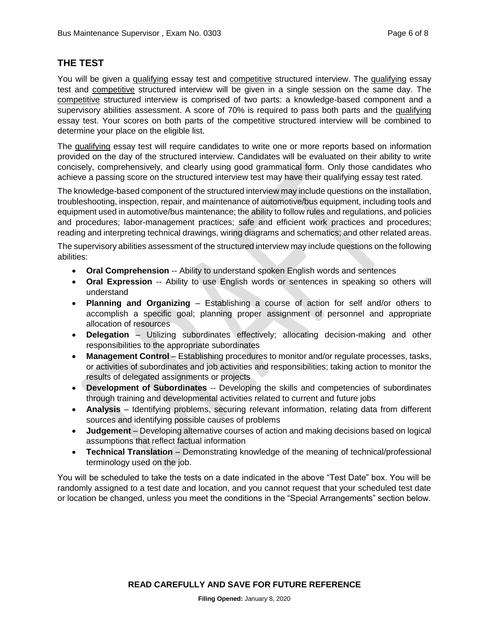#### **THE TEST**

You will be given a qualifying essay test and competitive structured interview. The qualifying essay test and competitive structured interview will be given in a single session on the same day. The competitive structured interview is comprised of two parts: a knowledge-based component and a supervisory abilities assessment. A score of 70% is required to pass both parts and the qualifying essay test. Your scores on both parts of the competitive structured interview will be combined to determine your place on the eligible list.

The qualifying essay test will require candidates to write one or more reports based on information provided on the day of the structured interview. Candidates will be evaluated on their ability to write concisely, comprehensively, and clearly using good grammatical form. Only those candidates who achieve a passing score on the structured interview test may have their qualifying essay test rated.

The knowledge-based component of the structured interview may include questions on the installation, troubleshooting, inspection, repair, and maintenance of automotive/bus equipment, including tools and equipment used in automotive/bus maintenance; the ability to follow rules and regulations, and policies and procedures; labor-management practices; safe and efficient work practices and procedures; reading and interpreting technical drawings, wiring diagrams and schematics; and other related areas.

The supervisory abilities assessment of the structured interview may include questions on the following abilities:

- **Oral Comprehension** -- Ability to understand spoken English words and sentences
- **Oral Expression** -- Ability to use English words or sentences in speaking so others will understand
- **Planning and Organizing** Establishing a course of action for self and/or others to accomplish a specific goal; planning proper assignment of personnel and appropriate allocation of resources
- **Delegation** Utilizing subordinates effectively; allocating decision-making and other responsibilities to the appropriate subordinates
- **Management Control** Establishing procedures to monitor and/or regulate processes, tasks, or activities of subordinates and job activities and responsibilities; taking action to monitor the results of delegated assignments or projects
- **Development of Subordinates** -- Developing the skills and competencies of subordinates through training and developmental activities related to current and future jobs
- **Analysis** Identifying problems, securing relevant information, relating data from different sources and identifying possible causes of problems
- **Judgement** Developing alternative courses of action and making decisions based on logical assumptions that reflect factual information
- **Technical Translation** Demonstrating knowledge of the meaning of technical/professional terminology used on the job.

You will be scheduled to take the tests on a date indicated in the above "Test Date" box. You will be randomly assigned to a test date and location, and you cannot request that your scheduled test date or location be changed, unless you meet the conditions in the "Special Arrangements" section below.

**READ CAREFULLY AND SAVE FOR FUTURE REFERENCE**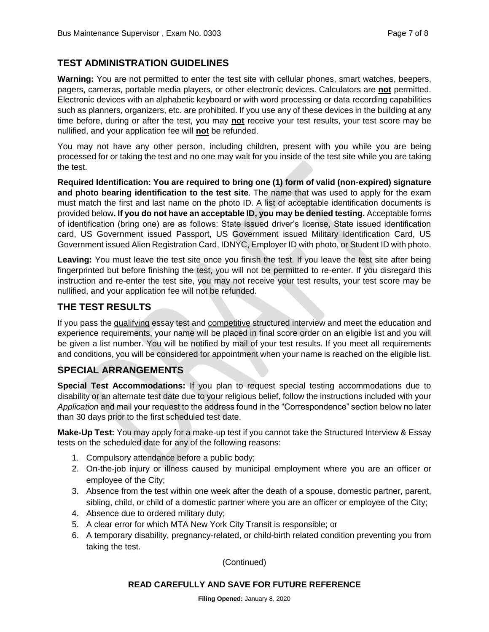#### **TEST ADMINISTRATION GUIDELINES**

**Warning:** You are not permitted to enter the test site with cellular phones, smart watches, beepers, pagers, cameras, portable media players, or other electronic devices. Calculators are **not** permitted. Electronic devices with an alphabetic keyboard or with word processing or data recording capabilities such as planners, organizers, etc. are prohibited. If you use any of these devices in the building at any time before, during or after the test, you may **not** receive your test results, your test score may be nullified, and your application fee will **not** be refunded.

You may not have any other person, including children, present with you while you are being processed for or taking the test and no one may wait for you inside of the test site while you are taking the test.

**Required Identification: You are required to bring one (1) form of valid (non-expired) signature and photo bearing identification to the test site**. The name that was used to apply for the exam must match the first and last name on the photo ID. A list of acceptable identification documents is provided below**. If you do not have an acceptable ID, you may be denied testing.** Acceptable forms of identification (bring one) are as follows: State issued driver's license, State issued identification card, US Government issued Passport, US Government issued Military Identification Card, US Government issued Alien Registration Card, IDNYC, Employer ID with photo, or Student ID with photo.

**Leaving:** You must leave the test site once you finish the test. If you leave the test site after being fingerprinted but before finishing the test, you will not be permitted to re-enter. If you disregard this instruction and re-enter the test site, you may not receive your test results, your test score may be nullified, and your application fee will not be refunded.

#### **THE TEST RESULTS**

If you pass the qualifying essay test and competitive structured interview and meet the education and experience requirements, your name will be placed in final score order on an eligible list and you will be given a list number. You will be notified by mail of your test results. If you meet all requirements and conditions, you will be considered for appointment when your name is reached on the eligible list.

#### **SPECIAL ARRANGEMENTS**

**Special Test Accommodations:** If you plan to request special testing accommodations due to disability or an alternate test date due to your religious belief, follow the instructions included with your *Application* and mail your request to the address found in the "Correspondence" section below no later than 30 days prior to the first scheduled test date.

**Make-Up Test:** You may apply for a make-up test if you cannot take the Structured Interview & Essay tests on the scheduled date for any of the following reasons:

- 1. Compulsory attendance before a public body;
- 2. On-the-job injury or illness caused by municipal employment where you are an officer or employee of the City;
- 3. Absence from the test within one week after the death of a spouse, domestic partner, parent, sibling, child, or child of a domestic partner where you are an officer or employee of the City;
- 4. Absence due to ordered military duty;
- 5. A clear error for which MTA New York City Transit is responsible; or
- 6. A temporary disability, pregnancy-related, or child-birth related condition preventing you from taking the test.

(Continued)

#### **READ CAREFULLY AND SAVE FOR FUTURE REFERENCE**